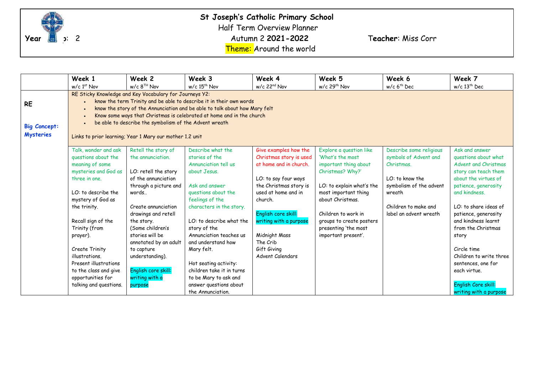

|                                                      | Week 1                                                                                                                                                                                                                                                                                                                                                                                                      | Week 2                                                                                                                                                                                                                                                                                                                          | Week 3                                                                                                                                                                                                                                                                                                                                                        | Week 4                                                                                                                                                                                                                                                                          | Week 5                                                                                                                                                                                                                                                              | Week 6                                                                                                                                                                     | Week 7                                                                                                                                                                                                                                                                                                                                         |
|------------------------------------------------------|-------------------------------------------------------------------------------------------------------------------------------------------------------------------------------------------------------------------------------------------------------------------------------------------------------------------------------------------------------------------------------------------------------------|---------------------------------------------------------------------------------------------------------------------------------------------------------------------------------------------------------------------------------------------------------------------------------------------------------------------------------|---------------------------------------------------------------------------------------------------------------------------------------------------------------------------------------------------------------------------------------------------------------------------------------------------------------------------------------------------------------|---------------------------------------------------------------------------------------------------------------------------------------------------------------------------------------------------------------------------------------------------------------------------------|---------------------------------------------------------------------------------------------------------------------------------------------------------------------------------------------------------------------------------------------------------------------|----------------------------------------------------------------------------------------------------------------------------------------------------------------------------|------------------------------------------------------------------------------------------------------------------------------------------------------------------------------------------------------------------------------------------------------------------------------------------------------------------------------------------------|
|                                                      | $w/c$ 1st Nov                                                                                                                                                                                                                                                                                                                                                                                               | $w/c$ 8 <sup>TH</sup> Nov                                                                                                                                                                                                                                                                                                       | $w/c$ 15 <sup>th</sup> Nov                                                                                                                                                                                                                                                                                                                                    | $w/c$ 22 <sup>nd</sup> Nov                                                                                                                                                                                                                                                      | w/c 29 <sup>th</sup> Nov                                                                                                                                                                                                                                            | $w/c$ 6 <sup>th</sup> Dec                                                                                                                                                  | $w/c$ 13 <sup>th</sup> Dec                                                                                                                                                                                                                                                                                                                     |
| <b>RE</b><br><b>Big Concept:</b><br><b>Mysteries</b> | RE Sticky Knowledge and Key Vocabulary for Journeys Y2:<br>know the term Trinity and be able to describe it in their own words<br>know the story of the Annunciation and be able to talk about how Mary felt<br>Know some ways that Christmas is celebrated at home and in the church<br>be able to describe the symbolism of the Advent wreath<br>Links to prior learning; Year 1 Mary our mother 1.2 unit |                                                                                                                                                                                                                                                                                                                                 |                                                                                                                                                                                                                                                                                                                                                               |                                                                                                                                                                                                                                                                                 |                                                                                                                                                                                                                                                                     |                                                                                                                                                                            |                                                                                                                                                                                                                                                                                                                                                |
|                                                      | Talk, wonder and ask<br>questions about the<br>meaning of some<br>mysteries and God as<br>three in one.<br>LO: to describe the<br>mystery of God as<br>the trinity.<br>Recall sign of the<br>Trinity (from<br>prayer).<br>Create Trinity<br>illustrations.<br>Present illustrations<br>to the class and give<br>opportunities for                                                                           | Retell the story of<br>the annunciation.<br>LO: retell the story<br>of the annunciation<br>through a picture and<br>words<br>Create annunciation<br>drawings and retell<br>the story.<br>(Some children's<br>stories will be<br>annotated by an adult<br>to capture<br>understanding).<br>English core skill:<br>writing with a | Describe what the<br>stories of the<br>Annunciation tell us<br>about Jesus.<br>Ask and answer<br>questions about the<br>feelings of the<br>characters in the story.<br>LO: to describe what the<br>story of the<br>Annunciation teaches us<br>and understand how<br>Mary felt.<br>Hot seating activity:<br>children take it in turns<br>to be Mary to ask and | Give examples how the<br>Christmas story is used<br>at home and in church.<br>LO: to say four ways<br>the Christmas story is<br>used at home and in<br>church.<br>English core skill:<br>writing with a purpose<br>Midnight Mass<br>The Crib<br>Gift Giving<br>Advent Calendars | Explore a question like<br>'What's the most<br>important thing about<br>Christmas? Why?'<br>LO: to explain what's the<br>most important thing<br>about Christmas.<br>Children to work in<br>groups to create posters<br>presenting 'the most<br>important present'. | Describe some religious<br>symbols of Advent and<br>Christmas.<br>$LO:$ to know the<br>symbolism of the advent<br>wreath<br>Children to make and<br>label an advent wreath | Ask and answer<br>questions about what<br>Advent and Christmas<br>story can teach them<br>about the virtues of<br>patience, generosity<br>and kindness.<br>LO: to share ideas of<br>patience, generosity<br>and kindness learnt<br>from the Christmas<br>story<br>Circle time<br>Children to write three<br>sentences, one for<br>each virtue. |
|                                                      | talking and questions.                                                                                                                                                                                                                                                                                                                                                                                      | purpose                                                                                                                                                                                                                                                                                                                         | answer questions about<br>the Annunciation.                                                                                                                                                                                                                                                                                                                   |                                                                                                                                                                                                                                                                                 |                                                                                                                                                                                                                                                                     |                                                                                                                                                                            | English Core skill:<br>writing with a purpose                                                                                                                                                                                                                                                                                                  |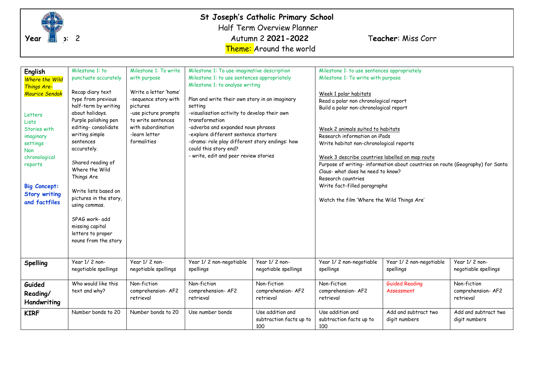

| English<br><b>Where the Wild</b><br>Things Are-<br>Maurice Sendak<br>Letters<br>Lists<br>Stories with<br>imaginary<br>settings<br><b>Non</b><br>chronological<br>reports<br><b>Big Concept:</b><br><b>Story writing</b><br>and factfiles | Milestone 1: to<br>punctuate accurately<br>Recap diary text<br>type from previous<br>half-term by writing<br>about holidays.<br>Purple polishing pen<br>editing-consolidate<br>writing simple<br>sentences<br>accurately.<br>Shared reading of<br>Where the Wild<br>Things Are<br>Write lists based on<br>pictures in the story,<br>using commas.<br>SPAG work- add<br>missing capital<br>letters to proper<br>nouns from the story | Milestone 1: To write<br>with purpose<br>Write a letter 'home'<br>-sequence story with<br>pictures<br>-use picture prompts<br>to write sentences<br>with subordination<br>-learn letter<br>formalities | Milestone 1: To use imaginative description<br>setting<br>transformation<br>could this story end? | Milestone 1: to use sentences appropriately<br>Milestone 1: to analyse writing<br>Plan and write their own story in an imaginary<br>-visualisation activity to develop their own<br>-adverbs and expanded noun phrases<br>-explore different sentence starters<br>-drama: role play different story endings: how<br>- write, edit and peer review stories |                                                    | Milestone 1: To write with purpose<br>Week 1 polar habitats<br>Read a polar non chronological report<br>Build a polar non-chronological report<br>Week 2 animals suited to habitats<br>Research information on iPads<br>Write habitat non-chronological reports<br>Week 3 describe countries labelled on map route<br>Purpose of writing- information about countries on route (Geography) for Santa<br>Claus-what does he need to know?<br>Research countries<br>Write fact-filled paragraphs<br>Watch the film 'Where the Wild Things Are' |                                               |  |
|------------------------------------------------------------------------------------------------------------------------------------------------------------------------------------------------------------------------------------------|-------------------------------------------------------------------------------------------------------------------------------------------------------------------------------------------------------------------------------------------------------------------------------------------------------------------------------------------------------------------------------------------------------------------------------------|--------------------------------------------------------------------------------------------------------------------------------------------------------------------------------------------------------|---------------------------------------------------------------------------------------------------|-----------------------------------------------------------------------------------------------------------------------------------------------------------------------------------------------------------------------------------------------------------------------------------------------------------------------------------------------------------|----------------------------------------------------|----------------------------------------------------------------------------------------------------------------------------------------------------------------------------------------------------------------------------------------------------------------------------------------------------------------------------------------------------------------------------------------------------------------------------------------------------------------------------------------------------------------------------------------------|-----------------------------------------------|--|
| Spelling                                                                                                                                                                                                                                 | Year 1/2 non-<br>negotiable spellings                                                                                                                                                                                                                                                                                                                                                                                               | Year 1/2 non-<br>negotiable spellings                                                                                                                                                                  | Year 1/2 non-negotiable<br>spellings                                                              | Year 1/2 non-<br>negotiable spellings                                                                                                                                                                                                                                                                                                                     | Year 1/2 non-negotiable<br>spellings               | Year 1/2 non-negotiable<br>spellings                                                                                                                                                                                                                                                                                                                                                                                                                                                                                                         | Year 1/2 non-<br>negotiable spellings         |  |
| Guided<br>Reading/<br>Handwriting                                                                                                                                                                                                        | Who would like this<br>text and why?                                                                                                                                                                                                                                                                                                                                                                                                | Non-fiction<br>comprehension-AF2<br>retrieval                                                                                                                                                          | Non-fiction<br>comprehension-AF2<br>retrieval                                                     | Non-fiction<br>comprehension-AF2<br>retrieval                                                                                                                                                                                                                                                                                                             | Non-fiction<br>comprehension-AF2<br>retrieval      | <b>Guided Reading</b><br>Assessment                                                                                                                                                                                                                                                                                                                                                                                                                                                                                                          | Non-fiction<br>comprehension-AF2<br>retrieval |  |
| <b>KIRF</b>                                                                                                                                                                                                                              | Number bonds to 20                                                                                                                                                                                                                                                                                                                                                                                                                  | Number bonds to 20                                                                                                                                                                                     | Use number bonds                                                                                  | Use addition and<br>subtraction facts up to<br>100                                                                                                                                                                                                                                                                                                        | Use addition and<br>subtraction facts up to<br>100 | Add and subtract two<br>digit numbers                                                                                                                                                                                                                                                                                                                                                                                                                                                                                                        | Add and subtract two<br>digit numbers         |  |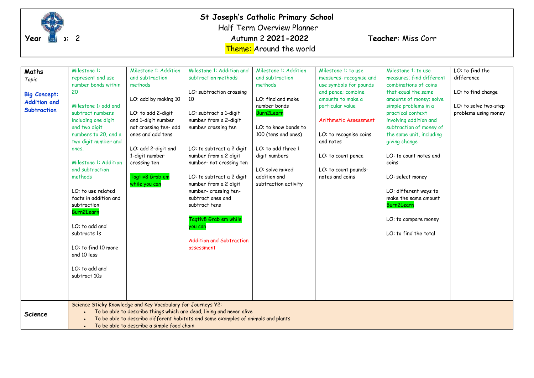

### **St Joseph's Catholic Primary School**  Half Term Overview Planner

Theme: Around the world

| Maths               | Milestone 1:                                                                      | Milestone 1: Addition                                        | Milestone 1: Addition and                                            | Milestone 1: Addition               | Milestone 1: to use                               | Milestone 1: to use                               | LO: to find the       |  |  |
|---------------------|-----------------------------------------------------------------------------------|--------------------------------------------------------------|----------------------------------------------------------------------|-------------------------------------|---------------------------------------------------|---------------------------------------------------|-----------------------|--|--|
| Topic               | represent and use<br>number bonds within                                          | and subtraction<br>methods                                   | subtraction methods                                                  | and subtraction<br>methods          | measures: recognise and<br>use symbols for pounds | measures; find different<br>combinations of coins | difference            |  |  |
|                     | 20                                                                                |                                                              | LO: subtraction crossing                                             |                                     | and pence; combine                                | that equal the same                               | LO: to find change    |  |  |
| <b>Big Concept:</b> |                                                                                   | LO: add by making 10                                         | 10                                                                   | LO: find and make                   | amounts to make a                                 | amounts of money; solve                           |                       |  |  |
| <b>Addition and</b> | Milestone 1: add and                                                              |                                                              |                                                                      | number bonds                        | particular value                                  | simple problems in a                              | LO: to solve two-step |  |  |
| <b>Subtraction</b>  | subtract numbers                                                                  | LO: to add 2-digit                                           | LO: subtract a 1-digit                                               | Burn2Learr                          |                                                   | practical context                                 | problems using money  |  |  |
|                     | including one digit                                                               | and 1-digit number                                           | number from a 2-digit                                                |                                     | Arithmetic Assessment                             | involving addition and                            |                       |  |  |
|                     | and two digit                                                                     | not crossing ten- add                                        | number crossing ten                                                  | LO: to know bonds to                |                                                   | subtraction of money of                           |                       |  |  |
|                     | numbers to 20, and a                                                              | ones and add tens                                            |                                                                      | 100 (tens and ones)                 | LO: to recognise coins                            | the same unit, including                          |                       |  |  |
|                     | two digit number and                                                              |                                                              |                                                                      |                                     | and notes                                         | giving change                                     |                       |  |  |
|                     | ones.                                                                             | LO: add 2-digit and<br>1-digit number                        | LO: to subtract a 2 digit<br>number from a 2 digit                   | LO: to add three 1<br>digit numbers | LO: to count pence                                | LO: to count notes and                            |                       |  |  |
|                     | Milestone 1: Addition                                                             | crossing ten                                                 | number- not crossing ten                                             |                                     |                                                   | coins                                             |                       |  |  |
|                     | and subtraction                                                                   |                                                              |                                                                      | LO: solve mixed                     | LO: to count pounds-                              |                                                   |                       |  |  |
|                     | methods                                                                           | Tagtiv8 Grab em                                              | LO: to subtract a 2 digit                                            | addition and                        | notes and coins                                   | LO: select money                                  |                       |  |  |
|                     |                                                                                   | while you can                                                | number from a 2 digit                                                | subtraction activity                |                                                   |                                                   |                       |  |  |
|                     | LO: to use related                                                                |                                                              | number- crossing ten-                                                |                                     |                                                   | LO: different ways to                             |                       |  |  |
|                     | facts in addition and                                                             |                                                              | subtract ones and                                                    |                                     |                                                   | make the same amount                              |                       |  |  |
|                     | subtraction                                                                       |                                                              | subtract tens                                                        |                                     |                                                   | Burn2Learn                                        |                       |  |  |
|                     | <b>Burn2Learn</b>                                                                 |                                                              |                                                                      |                                     |                                                   |                                                   |                       |  |  |
|                     |                                                                                   |                                                              | Tagtiv8 Grab em while                                                |                                     |                                                   | LO: to compare money                              |                       |  |  |
|                     | LO: to add and<br>subtracts 1s                                                    |                                                              | you can                                                              |                                     |                                                   | LO: to find the total                             |                       |  |  |
|                     |                                                                                   |                                                              | <b>Addition and Subtraction</b>                                      |                                     |                                                   |                                                   |                       |  |  |
|                     | LO: to find 10 more                                                               |                                                              | assessment                                                           |                                     |                                                   |                                                   |                       |  |  |
|                     | and 10 less                                                                       |                                                              |                                                                      |                                     |                                                   |                                                   |                       |  |  |
|                     |                                                                                   |                                                              |                                                                      |                                     |                                                   |                                                   |                       |  |  |
|                     | LO: to add and                                                                    |                                                              |                                                                      |                                     |                                                   |                                                   |                       |  |  |
|                     | subtract 10s                                                                      |                                                              |                                                                      |                                     |                                                   |                                                   |                       |  |  |
|                     |                                                                                   |                                                              |                                                                      |                                     |                                                   |                                                   |                       |  |  |
|                     |                                                                                   |                                                              |                                                                      |                                     |                                                   |                                                   |                       |  |  |
|                     |                                                                                   | Science Sticky Knowledge and Key Vocabulary for Journeys Y2: |                                                                      |                                     |                                                   |                                                   |                       |  |  |
| <b>Science</b>      |                                                                                   |                                                              | To be able to describe things which are dead, living and never alive |                                     |                                                   |                                                   |                       |  |  |
|                     | To be able to describe different habitats and some examples of animals and plants |                                                              |                                                                      |                                     |                                                   |                                                   |                       |  |  |
|                     | To be able to describe a simple food chain                                        |                                                              |                                                                      |                                     |                                                   |                                                   |                       |  |  |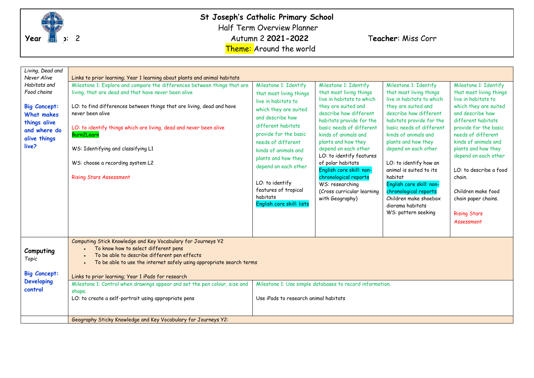

| Living, Dead and<br>Never Alive<br>Habitats and<br>Food chains<br><b>Big Concept:</b><br><b>What makes</b><br>things alive<br>and where do<br>alive things<br>live? | Links to prior learning; Year 1 learning about plants and animal habitats<br>Milestone 1: Explore and compare the differences between things that are<br>Milestone 1: Identify<br>living, that are dead and that have never been alive<br>that most living things<br>live in habitats to<br>LO: to find differences between things that are living, dead and have<br>which they are suited<br>never been alive<br>and describe how<br>different habitats<br>LO: to identify things which are living, dead and never been alive<br>provide for the basic<br>Burn2Learn<br>needs of different<br>WS: Identifying and classifying L1<br>kinds of animals and<br>plants and how they<br>WS: choose a recording system L2<br>depend on each other<br><b>Rising Stars Assessment</b><br>LO: to identify<br>features of tropical<br>habitats | Milestone 1: Identify<br>that most living things<br>live in habitats to which<br>they are suited and<br>describe how different<br>habitats provide for the<br>basic needs of different<br>kinds of animals and<br>plants and how they<br>depend on each other<br>LO: to identify features<br>of polar habitats<br>English core skill: non-<br>chronological reports<br>WS: researching<br>(Cross curricular learning<br>with Geography) | Milestone 1: Identify<br>that most living things<br>live in habitats to which<br>they are suited and<br>describe how different<br>habitats provide for the<br>basic needs of different<br>kinds of animals and<br>plants and how they<br>depend on each other<br>LO: to identify how an<br>animal is suited to its<br>habitat<br>English core skill: non-<br>chronological reports<br>Children make shoebox | Milestone 1: Identify<br>that most living things<br>live in habitats to<br>which they are suited<br>and describe how<br>different habitats<br>provide for the basic<br>needs of different<br>kinds of animals and<br>plants and how they<br>depend on each other<br>LO: to describe a food<br>chain.<br>Children make food<br>chain paper chains. |                                   |
|---------------------------------------------------------------------------------------------------------------------------------------------------------------------|---------------------------------------------------------------------------------------------------------------------------------------------------------------------------------------------------------------------------------------------------------------------------------------------------------------------------------------------------------------------------------------------------------------------------------------------------------------------------------------------------------------------------------------------------------------------------------------------------------------------------------------------------------------------------------------------------------------------------------------------------------------------------------------------------------------------------------------|-----------------------------------------------------------------------------------------------------------------------------------------------------------------------------------------------------------------------------------------------------------------------------------------------------------------------------------------------------------------------------------------------------------------------------------------|-------------------------------------------------------------------------------------------------------------------------------------------------------------------------------------------------------------------------------------------------------------------------------------------------------------------------------------------------------------------------------------------------------------|---------------------------------------------------------------------------------------------------------------------------------------------------------------------------------------------------------------------------------------------------------------------------------------------------------------------------------------------------|-----------------------------------|
| Computing<br>Topic<br><b>Big Concept:</b><br><b>Developing</b><br>control                                                                                           | Computing Stick Knowledge and Key Vocabulary for Journeys Y2<br>To know how to select different pens<br>To be able to describe different pen effects<br>To be able to use the internet safely using appropriate search terms<br>Links to prior learning; Year 1 iPads for research<br>Milestone 1: Control when drawings appear and set the pen colour, size and<br>shape.<br>LO: to create a self-portrait using appropriate pens<br>Geography Sticky Knowledge and Key Vocabulary for Journeys Y2:                                                                                                                                                                                                                                                                                                                                  | Use iPads to research animal habitats                                                                                                                                                                                                                                                                                                                                                                                                   | Milestone 1: Use simple databases to record information.                                                                                                                                                                                                                                                                                                                                                    | WS: pattern seeking                                                                                                                                                                                                                                                                                                                               | <b>Rising Stars</b><br>Assessment |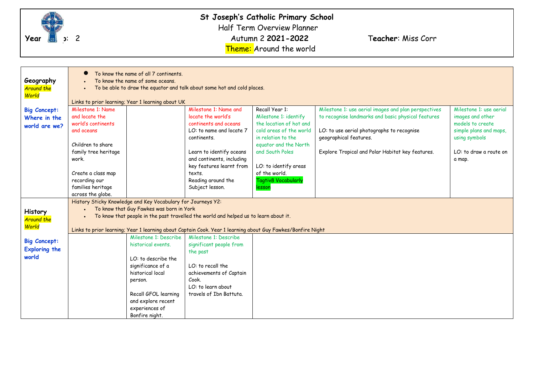

**St Joseph's Catholic Primary School**  Half Term Overview Planner **Year Group**: 2 **2 Autumn 2 2021-2022 Teacher:** Miss Corr Theme: Around the world

| Geography<br><b>Around the</b><br>World              | To know the name of all 7 continents.<br>To know the name of some oceans.<br>To be able to draw the equator and talk about some hot and cold places. |                                                                                                                                                                                        |                                                                                                                                                                                                      |                                                                                                                                                                                          |                                                                                                                                                                                                                                        |                                                                                                                                                |  |  |
|------------------------------------------------------|------------------------------------------------------------------------------------------------------------------------------------------------------|----------------------------------------------------------------------------------------------------------------------------------------------------------------------------------------|------------------------------------------------------------------------------------------------------------------------------------------------------------------------------------------------------|------------------------------------------------------------------------------------------------------------------------------------------------------------------------------------------|----------------------------------------------------------------------------------------------------------------------------------------------------------------------------------------------------------------------------------------|------------------------------------------------------------------------------------------------------------------------------------------------|--|--|
|                                                      | Links to prior learning; Year 1 learning about UK                                                                                                    |                                                                                                                                                                                        |                                                                                                                                                                                                      |                                                                                                                                                                                          |                                                                                                                                                                                                                                        |                                                                                                                                                |  |  |
| <b>Big Concept:</b><br>Where in the<br>world are we? | Milestone 1: Name<br>and locate the<br>world's continents<br>and oceans<br>Children to share<br>family tree heritage<br>work.                        |                                                                                                                                                                                        | Milestone 1: Name and<br>locate the world's<br>continents and oceans<br>LO: to name and locate 7<br>continents.<br>Learn to identify oceans<br>and continents, including<br>key features learnt from | Recall Year 1:<br>Milestone 1: identify<br>the location of hot and<br>cold areas of the world<br>in relation to the<br>equator and the North<br>and South Poles<br>LO: to identify areas | Milestone 1: use aerial images and plan perspectives<br>to recognise landmarks and basic physical features<br>LO: to use aerial photographs to recognise<br>geographical features.<br>Explore Tropical and Polar Habitat key features. | Milestone 1: use aerial<br>images and other<br>models to create<br>simple plans and maps,<br>using symbols<br>LO; to draw a route on<br>a map. |  |  |
|                                                      | Create a class map                                                                                                                                   |                                                                                                                                                                                        | texts.                                                                                                                                                                                               | of the world.                                                                                                                                                                            |                                                                                                                                                                                                                                        |                                                                                                                                                |  |  |
|                                                      | recording our                                                                                                                                        |                                                                                                                                                                                        | Reading around the                                                                                                                                                                                   | <b>Tagtiv8 Vocabularly</b>                                                                                                                                                               |                                                                                                                                                                                                                                        |                                                                                                                                                |  |  |
|                                                      | families heritage<br>across the globe.                                                                                                               |                                                                                                                                                                                        | Subject lesson.                                                                                                                                                                                      | lesson                                                                                                                                                                                   |                                                                                                                                                                                                                                        |                                                                                                                                                |  |  |
| History<br><b>Around the</b>                         |                                                                                                                                                      | History Sticky Knowledge and Key Vocabulary for Journeys Y2:<br>To know that Guy Fawkes was born in York                                                                               | To know that people in the past travelled the world and helped us to learn about it.                                                                                                                 |                                                                                                                                                                                          |                                                                                                                                                                                                                                        |                                                                                                                                                |  |  |
| World                                                |                                                                                                                                                      |                                                                                                                                                                                        | Links to prior learning; Year 1 learning about Captain Cook. Year 1 learning about Guy Fawkes/Bonfire Night                                                                                          |                                                                                                                                                                                          |                                                                                                                                                                                                                                        |                                                                                                                                                |  |  |
| <b>Big Concept:</b><br><b>Exploring the</b><br>world |                                                                                                                                                      | Milestone 1: Describe<br>historical events.<br>LO: to describe the<br>significance of a<br>historical local<br>person.<br>Recall GFOL learning<br>and explore recent<br>experiences of | Milestone 1: Describe<br>significant people from<br>the past<br>LO: to recall the<br>achievements of Captain<br>Cook.<br>LO: to learn about<br>travels of Ibn Battuta.                               |                                                                                                                                                                                          |                                                                                                                                                                                                                                        |                                                                                                                                                |  |  |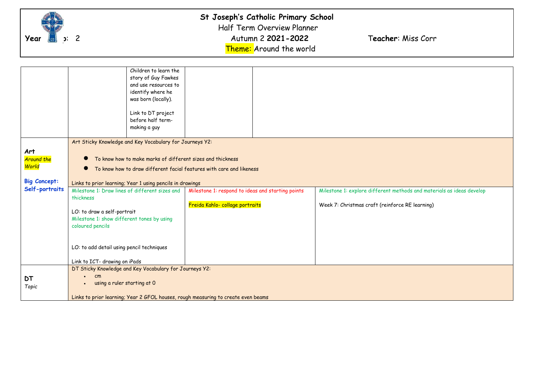

#### **St Joseph's Catholic Primary School**  Half Term Overview Planner **Year Group**: 2 *Autumn 2 2021-2022* Teacher: Miss Corr

Theme: Around the world

Children to learn the story of Guy Fawkes and use resources to identify where he was born (locally). Link to DT project before half termmaking a guy **Art**  *Around the World* **Big Concept: Self-portraits** Art Sticky Knowledge and Key Vocabulary for Journeys Y2: To know how to make marks of different sizes and thickness To know how to draw different facial features with care and likeness Links to prior learning; Year 1 using pencils in drawings Milestone 1: Draw lines of different sizes and thickness LO: to draw a self-portrait Milestone 1: show different tones by using coloured pencils LO: to add detail using pencil techniques Link to ICT- drawing on iPads Milestone 1: respond to ideas and starting points Freida Kahlo- collage portraits Milestone 1: explore different methods and materials as ideas develop Week 7: Christmas craft (reinforce RE learning) **DT** *Topic* DT Sticky Knowledge and Key Vocabulary for Journeys Y2: • cm • using a ruler starting at 0 Links to prior learning; Year 2 GFOL houses, rough measuring to create even beams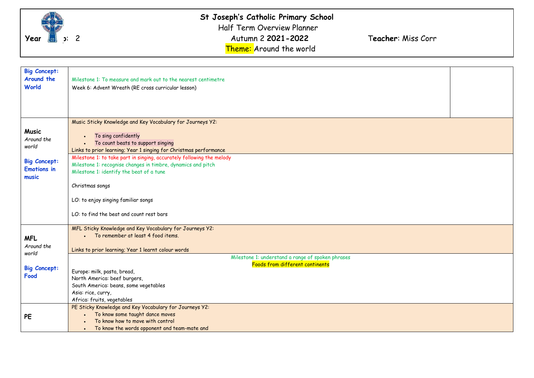

| <b>Big Concept:</b> |                                                                       |  |
|---------------------|-----------------------------------------------------------------------|--|
| Around the          | Milestone 1: To measure and mark out to the nearest centimetre        |  |
| World               | Week 6: Advent Wreath (RE cross curricular lesson)                    |  |
|                     |                                                                       |  |
|                     |                                                                       |  |
|                     |                                                                       |  |
|                     |                                                                       |  |
|                     | Music Sticky Knowledge and Key Vocabulary for Journeys Y2:            |  |
| <b>Music</b>        |                                                                       |  |
| Around the          | To sing confidently<br>To count beats to support singing              |  |
| world               | Links to prior learning; Year 1 singing for Christmas performance     |  |
|                     | Milestone 1: to take part in singing, accurately following the melody |  |
| <b>Big Concept:</b> | Milestone 1: recognise changes in timbre, dynamics and pitch          |  |
| <b>Emotions in</b>  | Milestone 1: identify the beat of a tune                              |  |
| music               |                                                                       |  |
|                     | Christmas songs                                                       |  |
|                     |                                                                       |  |
|                     | LO: to enjoy singing familiar songs                                   |  |
|                     |                                                                       |  |
|                     | LO: to find the beat and count rest bars                              |  |
|                     | MFL Sticky Knowledge and Key Vocabulary for Journeys Y2:              |  |
|                     | • To remember at least 4 food items.                                  |  |
| <b>MFL</b>          |                                                                       |  |
| Around the          | Links to prior learning; Year 1 learnt colour words                   |  |
| world               | Milestone 1: understand a range of spoken phrases                     |  |
|                     | Foods from different continents                                       |  |
| <b>Big Concept:</b> | Europe: milk, pasta, bread,                                           |  |
| Food                | North America: beef burgers,                                          |  |
|                     | South America: beans, some vegetables                                 |  |
|                     | Asia: rice, curry,                                                    |  |
|                     | Africa: fruits, vegetables                                            |  |
|                     | PE Sticky Knowledge and Key Vocabulary for Journeys Y2:               |  |
| PE                  | To know some taught dance moves                                       |  |
|                     | To know how to move with control                                      |  |
|                     | To know the words opponent and team-mate and                          |  |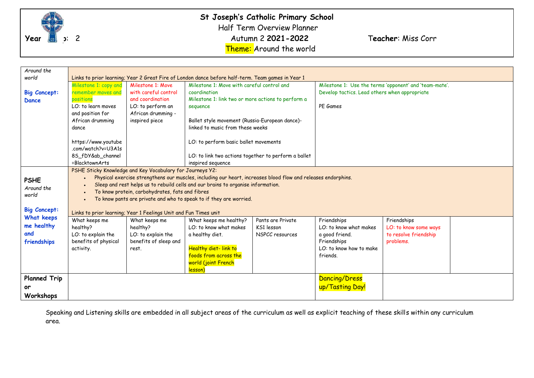

**St Joseph's Catholic Primary School**  Half Term Overview Planner **Year Group**: 2 2021-2022 Teacher: Miss Corr Theme: Around the world

| Around the<br>world                            | Links to prior learning; Year 2 Great Fire of London dance before half-term. Team games in Year 1                                                                                                                                                                                                                          |                                                                                   |                                                                                                                                                        |                                                    |                                                                                                               |                                                                            |  |
|------------------------------------------------|----------------------------------------------------------------------------------------------------------------------------------------------------------------------------------------------------------------------------------------------------------------------------------------------------------------------------|-----------------------------------------------------------------------------------|--------------------------------------------------------------------------------------------------------------------------------------------------------|----------------------------------------------------|---------------------------------------------------------------------------------------------------------------|----------------------------------------------------------------------------|--|
|                                                | Milestone 1: copy and                                                                                                                                                                                                                                                                                                      | Milestone 1: Move                                                                 | Milestone 1: Move with careful control and<br>coordination                                                                                             |                                                    | Milestone 1: Use the terms 'opponent' and 'team-mate'.                                                        |                                                                            |  |
| <b>Big Concept:</b>                            | remember moves and                                                                                                                                                                                                                                                                                                         | with careful control                                                              |                                                                                                                                                        |                                                    | Develop tactics. Lead others when appropriate                                                                 |                                                                            |  |
| <b>Dance</b>                                   | positions                                                                                                                                                                                                                                                                                                                  | and coordination                                                                  | Milestone 1: link two or more actions to perform a                                                                                                     |                                                    |                                                                                                               |                                                                            |  |
|                                                | LO: to learn moves                                                                                                                                                                                                                                                                                                         | LO: to perform an                                                                 | sequence                                                                                                                                               |                                                    | PE Games                                                                                                      |                                                                            |  |
|                                                | and position for                                                                                                                                                                                                                                                                                                           | African drumming -                                                                |                                                                                                                                                        |                                                    |                                                                                                               |                                                                            |  |
|                                                | African drumming                                                                                                                                                                                                                                                                                                           | inspired piece                                                                    | Ballet style movement (Russia-European dance)-                                                                                                         |                                                    |                                                                                                               |                                                                            |  |
|                                                | dance                                                                                                                                                                                                                                                                                                                      |                                                                                   | linked to music from these weeks                                                                                                                       |                                                    |                                                                                                               |                                                                            |  |
|                                                | https://www.youtube<br>.com/watch?v=U3A1s                                                                                                                                                                                                                                                                                  |                                                                                   | LO: to perform basic ballet movements                                                                                                                  |                                                    |                                                                                                               |                                                                            |  |
|                                                | 85 fDY&ab channel                                                                                                                                                                                                                                                                                                          |                                                                                   | LO: to link two actions together to perform a ballet                                                                                                   |                                                    |                                                                                                               |                                                                            |  |
|                                                | =BlacktownArts                                                                                                                                                                                                                                                                                                             |                                                                                   | inspired sequence                                                                                                                                      |                                                    |                                                                                                               |                                                                            |  |
|                                                | PSHE Sticky Knowledge and Key Vocabulary for Journeys Y2:                                                                                                                                                                                                                                                                  |                                                                                   |                                                                                                                                                        |                                                    |                                                                                                               |                                                                            |  |
| <b>PSHE</b><br>Around the<br>world             | Physical exercise strengthens our muscles, including our heart, increases blood flow and releases endorphins.<br>Sleep and rest helps us to rebuild cells and our brains to organise information.<br>To know protein, carbohydrates, fats and fibres<br>To know pants are private and who to speak to if they are worried. |                                                                                   |                                                                                                                                                        |                                                    |                                                                                                               |                                                                            |  |
| <b>Big Concept:</b>                            |                                                                                                                                                                                                                                                                                                                            | Links to prior learning; Year 1 Feelings Unit and Fun Times unit                  |                                                                                                                                                        |                                                    |                                                                                                               |                                                                            |  |
| What keeps<br>me healthy<br>and<br>friendships | What keeps me<br>healthy?<br>LO: to explain the<br>benefits of physical<br>activity.                                                                                                                                                                                                                                       | What keeps me<br>healthy?<br>LO: to explain the<br>benefits of sleep and<br>rest. | What keeps me healthy?<br>LO: to know what makes<br>a healthy diet.<br>Healthy diet-link to<br>foods from across the<br>world (joint French<br>lesson) | Pants are Private<br>KS1 lesson<br>NSPCC resources | Friendships<br>LO: to know what makes<br>a good friend.<br>Friendships<br>LO: to know how to make<br>friends. | Friendships<br>LO: to know some ways<br>to resolve friendship<br>problems. |  |
| <b>Planned Trip</b>                            |                                                                                                                                                                                                                                                                                                                            |                                                                                   |                                                                                                                                                        |                                                    | Dancing/Dress                                                                                                 |                                                                            |  |
| or                                             |                                                                                                                                                                                                                                                                                                                            |                                                                                   |                                                                                                                                                        |                                                    | up/Tasting Day!                                                                                               |                                                                            |  |
| Workshops                                      |                                                                                                                                                                                                                                                                                                                            |                                                                                   |                                                                                                                                                        |                                                    |                                                                                                               |                                                                            |  |

Speaking and Listening skills are embedded in all subject areas of the curriculum as well as explicit teaching of these skills within any curriculum area.